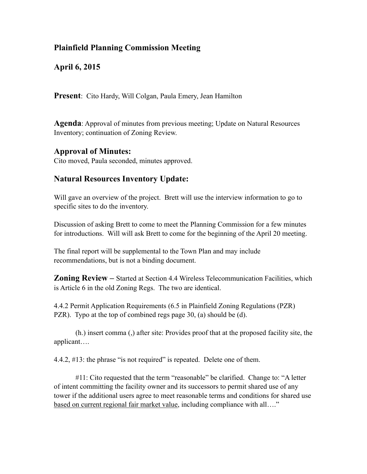## **Plainfield Planning Commission Meeting**

**April 6, 2015**

**Present**: Cito Hardy, Will Colgan, Paula Emery, Jean Hamilton

**Agenda**: Approval of minutes from previous meeting; Update on Natural Resources Inventory; continuation of Zoning Review.

## **Approval of Minutes:**

Cito moved, Paula seconded, minutes approved.

## **Natural Resources Inventory Update:**

Will gave an overview of the project. Brett will use the interview information to go to specific sites to do the inventory.

Discussion of asking Brett to come to meet the Planning Commission for a few minutes for introductions. Will will ask Brett to come for the beginning of the April 20 meeting.

The final report will be supplemental to the Town Plan and may include recommendations, but is not a binding document.

**Zoning Review** – Started at Section 4.4 Wireless Telecommunication Facilities, which is Article 6 in the old Zoning Regs. The two are identical.

4.4.2 Permit Application Requirements (6.5 in Plainfield Zoning Regulations (PZR) PZR). Typo at the top of combined regs page 30, (a) should be (d).

(h.) insert comma (,) after site: Provides proof that at the proposed facility site, the applicant….

4.4.2, #13: the phrase "is not required" is repeated. Delete one of them.

 #11: Cito requested that the term "reasonable" be clarified. Change to: "A letter of intent committing the facility owner and its successors to permit shared use of any tower if the additional users agree to meet reasonable terms and conditions for shared use based on current regional fair market value, including compliance with all...."